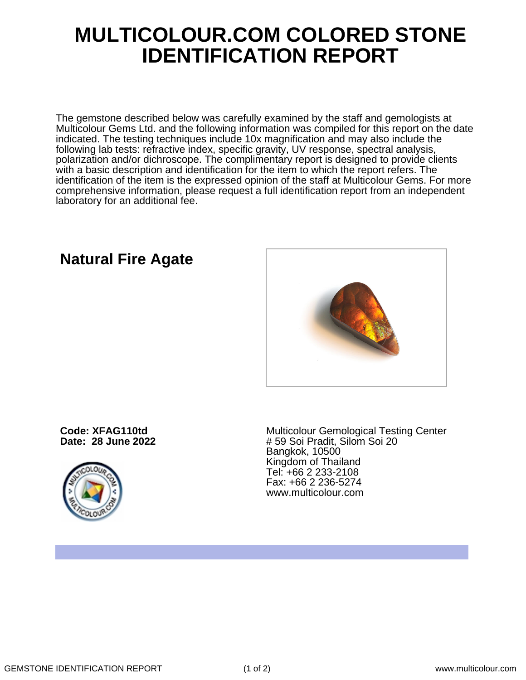## **MULTICOLOUR.COM COLORED STONE IDENTIFICATION REPORT**

The gemstone described below was carefully examined by the staff and gemologists at Multicolour Gems Ltd. and the following information was compiled for this report on the date indicated. The testing techniques include 10x magnification and may also include the following lab tests: refractive index, specific gravity, UV response, spectral analysis, polarization and/or dichroscope. The complimentary report is designed to provide clients with a basic description and identification for the item to which the report refers. The identification of the item is the expressed opinion of the staff at Multicolour Gems. For more comprehensive information, please request a full identification report from an independent laboratory for an additional fee.

## **Natural Fire Agate**

**Code: XFAG110td Date: 28 June 2022**



Multicolour Gemological Testing Center # 59 Soi Pradit, Silom Soi 20 Bangkok, 10500 Kingdom of Thailand Tel: +66 2 233-2108 Fax: +66 2 236-5274 www.multicolour.com